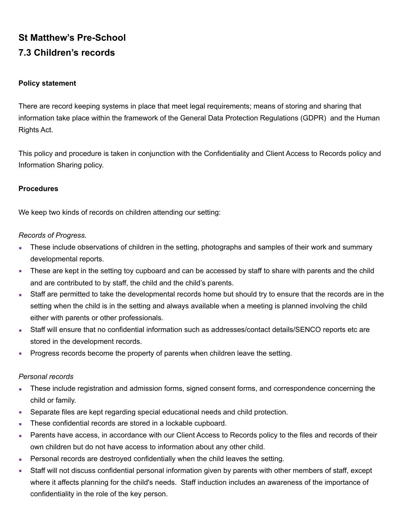# **St Matthew's Pre-School 7.3 Children's records**

### **Policy statement**

There are record keeping systems in place that meet legal requirements; means of storing and sharing that information take place within the framework of the General Data Protection Regulations (GDPR) and the Human Rights Act.

This policy and procedure is taken in conjunction with the Confidentiality and Client Access to Records policy and Information Sharing policy.

### **Procedures**

We keep two kinds of records on children attending our setting:

## *Records of Progress.*

- **EXECT** These include observations of children in the setting, photographs and samples of their work and summary developmental reports.
- **•** These are kept in the setting toy cupboard and can be accessed by staff to share with parents and the child and are contributed to by staff, the child and the child's parents.
- Staff are permitted to take the developmental records home but should try to ensure that the records are in the setting when the child is in the setting and always available when a meeting is planned involving the child either with parents or other professionals.
- **EXTENCO FINDER IN STARK IN STARK IN STARK IN STARK ISS** Staff will ensure that Staff will ensure that are stored in the development records.
- **Progress records become the property of parents when children leave the setting.**

### *Personal records*

- **These include registration and admission forms, signed consent forms, and correspondence concerning the** child or family.
- **EXE** Separate files are kept regarding special educational needs and child protection.
- These confidential records are stored in a lockable cupboard.
- **EXECTS** Parents have access, in accordance with our Client Access to Records policy to the files and records of their own children but do not have access to information about any other child.
- Personal records are destroyed confidentially when the child leaves the setting.
- **EXECT Staff will not discuss confidential personal information given by parents with other members of staff, except** where it affects planning for the child's needs. Staff induction includes an awareness of the importance of confidentiality in the role of the key person.